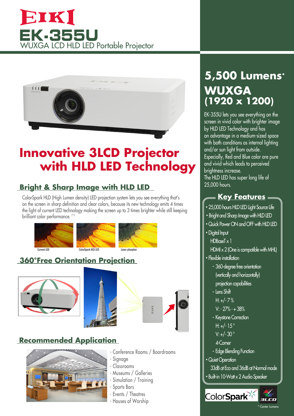# EIKI **EK-355U** WUXGA LCD HLD LED Portable Projector



# **Innovative 3LCD Projector with HLD LED Technology**

# **Bright & Sharp Image with HLD LED**

ColorSpark HLD (High Lumen density) LED projection system lets you see everything that's on the screen in sharp definition and clear colors, because its new technology emits 4 times the light of current LED technology making the screen up to 3 times brighter while still keeping brilliant color performance. (\*1)



## **360°Free Orientation Projection**









- Conference Rooms / Boardrooms
- Signage
- Classrooms
- Museums / Galleries
- Simulation / Training
- Sports Bars
- Events / Theatres
- Houses of Worship

# **5,500 Lumens\* WUXGA (1920 x 1200)**

EK-355U lets you see everything on the screen in vivid color with brighter image by HLD LED Technology and has an advantage in a medium-sized space with both conditions as internal lighting and/or sun light from outside. Especially, Red and Blue color are pure and vivid which leads to perceived brightness increase. The HLD LED has super long life of 25,000 hours.

# = **Key Features** =

- **・**25,000 hours HLD LED Light Source Life
- **・**Bright and Sharp Image with HLD LED
- **・**Quick Power ON and OFF with HLD LED
- **・**Digital Input
- HDBaseT x 1
- $HMx 2$  (One is compatible with MHL)
- **・**Flexible installation
	- 360-degree free orientation (vertically and horizontally) projection capabilities
	- Lens Shift
	- $H: +/- 7%$
	- V: 27% + 38%
	- Keystone Correction H:  $+/- 15^{\circ}$  $V· +/- 30°$
	- 4-Corner
	- Edge Blending Function
- **・**Quiet Operation
	- 33dB at Eco and 36dB at Normal mode
- **・**Built-in 10-Watt x 2 Audio Speaker